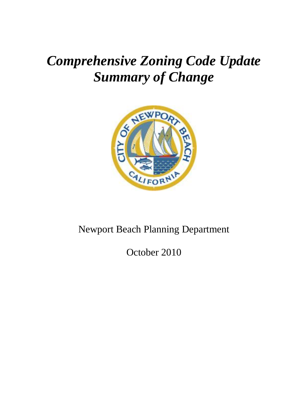# *Comprehensive Zoning Code Update Summary of Change*



## Newport Beach Planning Department

October 2010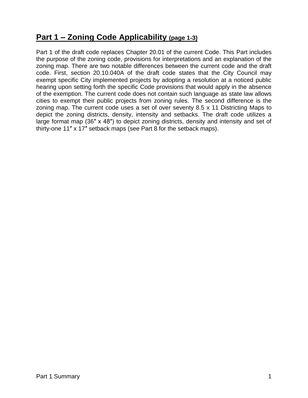## **Part 1 – Zoning Code Applicability (page 1-3)**

Part 1 of the draft code replaces Chapter 20.01 of the current Code. This Part includes the purpose of the zoning code, provisions for interpretations and an explanation of the zoning map. There are two notable differences between the current code and the draft code. First, section 20.10.040A of the draft code states that the City Council may exempt specific City implemented projects by adopting a resolution at a noticed public hearing upon setting forth the specific Code provisions that would apply in the absence of the exemption. The current code does not contain such language as state law allows cities to exempt their public projects from zoning rules. The second difference is the zoning map. The current code uses a set of over seventy 8.5 x 11 Districting Maps to depict the zoning districts, density, intensity and setbacks. The draft code utilizes a large format map (36″ x 48″) to depict zoning districts, density and intensity and set of thirty-one 11″ x 17″ setback maps (see Part 8 for the setback maps).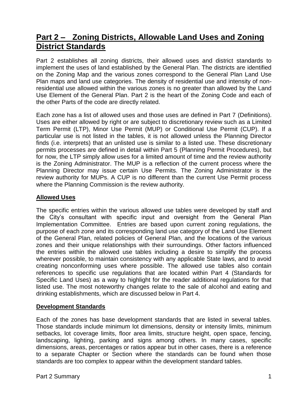## **Part 2 – Zoning Districts, Allowable Land Uses and Zoning District Standards**

Part 2 establishes all zoning districts, their allowed uses and district standards to implement the uses of land established by the General Plan. The districts are identified on the Zoning Map and the various zones correspond to the General Plan Land Use Plan maps and land use categories. The density of residential use and intensity of nonresidential use allowed within the various zones is no greater than allowed by the Land Use Element of the General Plan. Part 2 is the heart of the Zoning Code and each of the other Parts of the code are directly related.

Each zone has a list of allowed uses and those uses are defined in Part 7 (Definitions). Uses are either allowed by right or are subject to discretionary review such as a Limited Term Permit (LTP), Minor Use Permit (MUP) or Conditional Use Permit (CUP). If a particular use is not listed in the tables, it is not allowed unless the Planning Director finds (i.e. interprets) that an unlisted use is similar to a listed use. These discretionary permits processes are defined in detail within Part 5 (Planning Permit Procedures), but for now, the LTP simply allow uses for a limited amount of time and the review authority is the Zoning Administrator. The MUP is a reflection of the current process where the Planning Director may issue certain Use Permits. The Zoning Administrator is the review authority for MUPs. A CUP is no different than the current Use Permit process where the Planning Commission is the review authority.

#### **Allowed Uses**

The specific entries within the various allowed use tables were developed by staff and the City's consultant with specific input and oversight from the General Plan Implementation Committee. Entries are based upon current zoning regulations, the purpose of each zone and its corresponding land use category of the Land Use Element of the General Plan, related policies of General Plan, and the locations of the various zones and their unique relationships with their surroundings. Other factors influenced the entries within the allowed use tables including a desire to simplify the process wherever possible, to maintain consistency with any applicable State laws, and to avoid creating nonconforming uses where possible. The allowed use tables also contain references to specific use regulations that are located within Part 4 (Standards for Specific Land Uses) as a way to highlight for the reader additional regulations for that listed use. The most noteworthy changes relate to the sale of alcohol and eating and drinking establishments, which are discussed below in Part 4.

#### **Development Standards**

Each of the zones has base development standards that are listed in several tables. Those standards include minimum lot dimensions, density or intensity limits, minimum setbacks, lot coverage limits, floor area limits, structure height, open space, fencing, landscaping, lighting, parking and signs among others. In many cases, specific dimensions, areas, percentages or ratios appear but in other cases, there is a reference to a separate Chapter or Section where the standards can be found when those standards are too complex to appear within the development standard tables.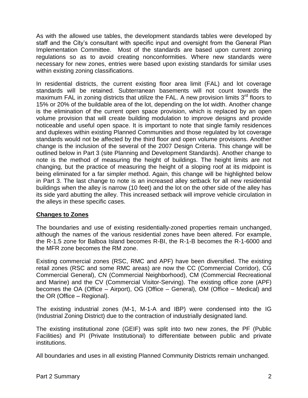As with the allowed use tables, the development standards tables were developed by staff and the City's consultant with specific input and oversight from the General Plan Implementation Committee. Most of the standards are based upon current zoning regulations so as to avoid creating nonconformities. Where new standards were necessary for new zones, entries were based upon existing standards for similar uses within existing zoning classifications.

In residential districts, the current existing floor area limit (FAL) and lot coverage standards will be retained. Subterranean basements will not count towards the maximum FAL in zoning districts that utilize the FAL. A new provision limits  $3<sup>rd</sup>$  floors to 15% or 20% of the buildable area of the lot, depending on the lot width. Another change is the elimination of the current open space provision, which is replaced by an open volume provision that will create building modulation to improve designs and provide noticeable and useful open space. It is important to note that single family residences and duplexes within existing Planned Communities and those regulated by lot coverage standards would not be affected by the third floor and open volume provisions. Another change is the inclusion of the several of the 2007 Design Criteria. This change will be outlined below in Part 3 (site Planning and Development Standards). Another change to note is the method of measuring the height of buildings. The height limits are not changing, but the practice of measuring the height of a sloping roof at its midpoint is being eliminated for a far simpler method. Again, this change will be highlighted below in Part 3. The last change to note is an increased alley setback for all new residential buildings when the alley is narrow (10 feet) and the lot on the other side of the alley has its side yard abutting the alley. This increased setback will improve vehicle circulation in the alleys in these specific cases.

#### **Changes to Zones**

The boundaries and use of existing residentially-zoned properties remain unchanged, although the names of the various residential zones have been altered. For example, the R-1.5 zone for Balboa Island becomes R-BI, the R-1-B becomes the R-1-6000 and the MFR zone becomes the RM zone.

Existing commercial zones (RSC, RMC and APF) have been diversified. The existing retail zones (RSC and some RMC areas) are now the CC (Commercial Corridor), CG Commercial General), CN (Commercial Neighborhood), CM (Commercial Recreational and Marine) and the CV (Commercial Visitor-Serving). The existing office zone (APF) becomes the OA (Office – Airport), OG (Office – General), OM (Office – Medical) and the OR (Office – Regional).

The existing industrial zones (M-1, M-1-A and IBP) were condensed into the IG (Industrial Zoning District) due to the contraction of industrially designated land.

The existing institutional zone (GEIF) was split into two new zones, the PF (Public Facilities) and PI (Private Institutional) to differentiate between public and private institutions.

All boundaries and uses in all existing Planned Community Districts remain unchanged.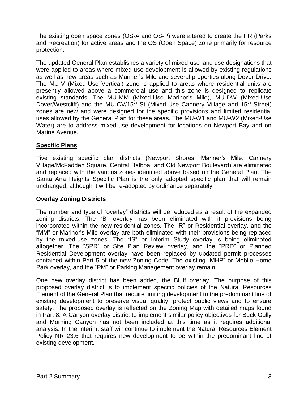The existing open space zones (OS-A and OS-P) were altered to create the PR (Parks and Recreation) for active areas and the OS (Open Space) zone primarily for resource protection.

The updated General Plan establishes a variety of mixed-use land use designations that were applied to areas where mixed-use development is allowed by existing regulations as well as new areas such as Mariner's Mile and several properties along Dover Drive. The MU-V (Mixed-Use Vertical) zone is applied to areas where residential units are presently allowed above a commercial use and this zone is designed to replicate existing standards. The MU-MM (Mixed-Use Mariner's Mile), MU-DW (Mixed-Use Dover/Westcliff) and the MU-CV/15<sup>th</sup> St (Mixed-Use Cannery Village and 15<sup>th</sup> Street) zones are new and were designed for the specific provisions and limited residential uses allowed by the General Plan for these areas. The MU-W1 and MU-W2 (Mixed-Use Water) are to address mixed-use development for locations on Newport Bay and on Marine Avenue.

#### **Specific Plans**

Five existing specific plan districts (Newport Shores, Mariner's Mile, Cannery Village/McFadden Square, Central Balboa, and Old Newport Boulevard) are eliminated and replaced with the various zones identified above based on the General Plan. The Santa Ana Heights Specific Plan is the only adopted specific plan that will remain unchanged, although it will be re-adopted by ordinance separately.

#### **Overlay Zoning Districts**

The number and type of "overlay" districts will be reduced as a result of the expanded zoning districts. The "B" overlay has been eliminated with it provisions being incorporated within the new residential zones. The "R" or Residential overlay, and the "MM" or Mariner's Mile overlay are both eliminated with their provisions being replaced by the mixed-use zones. The "IS" or Interim Study overlay is being eliminated altogether. The "SPR" or Site Plan Review overlay, and the "PRD" or Planned Residential Development overlay have been replaced by updated permit processes contained within Part 5 of the new Zoning Code. The existing "MHP" or Mobile Home Park overlay, and the "PM" or Parking Management overlay remain.

One new overlay district has been added, the Bluff overlay. The purpose of this proposed overlay district is to implement specific policies of the Natural Resources Element of the General Plan that require limiting development to the predominant line of existing development to preserve visual quality, protect public views and to ensure safety. The proposed overlay is reflected on the Zoning Map with detailed maps found in Part 8. A Canyon overlay district to implement similar policy objectives for Buck Gully and Morning Canyon has not been included at this time as it requires additional analysis. In the interim, staff will continue to implement the Natural Resources Element Policy NR 23.6 that requires new development to be within the predominant line of existing development.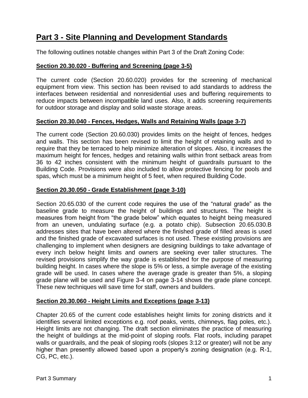## **Part 3 - Site Planning and Development Standards**

The following outlines notable changes within Part 3 of the Draft Zoning Code:

#### **Section 20.30.020 - Buffering and Screening (page 3-5)**

The current code (Section 20.60.020) provides for the screening of mechanical equipment from view. This section has been revised to add standards to address the interfaces between residential and nonresidential uses and buffering requirements to reduce impacts between incompatible land uses. Also, it adds screening requirements for outdoor storage and display and solid waste storage areas.

#### **Section 20.30.040 - Fences, Hedges, Walls and Retaining Walls (page 3-7)**

The current code (Section 20.60.030) provides limits on the height of fences, hedges and walls. This section has been revised to limit the height of retaining walls and to require that they be terraced to help minimize alteration of slopes. Also, it increases the maximum height for fences, hedges and retaining walls within front setback areas from 36 to 42 inches consistent with the minimum height of guardrails pursuant to the Building Code. Provisions were also included to allow protective fencing for pools and spas, which must be a minimum height of 5 feet, when required Building Code.

#### **Section 20.30.050 - Grade Establishment (page 3-10)**

Section 20.65.030 of the current code requires the use of the "natural grade" as the baseline grade to measure the height of buildings and structures. The height is measures from height from "the grade below" which equates to height being measured from an uneven, undulating surface (e.g. a potato chip). Subsection 20.65.030.B addresses sites that have been altered where the finished grade of filled areas is used and the finished grade of excavated surfaces is not used. These existing provisions are challenging to implement when designers are designing buildings to take advantage of every inch below height limits and owners are seeking ever taller structures. The revised provisions simplify the way grade is established for the purpose of measuring building height. In cases where the slope is 5% or less, a simple average of the existing grade will be used. In cases where the average grade is greater than 5%, a sloping grade plane will be used and Figure 3-4 on page 3-14 shows the grade plane concept. These new techniques will save time for staff, owners and builders.

#### **Section 20.30.060 - Height Limits and Exceptions (page 3-13)**

Chapter 20.65 of the current code establishes height limits for zoning districts and it identifies several limited exceptions e.g. roof peaks, vents, chimneys, flag poles, etc.). Height limits are not changing. The draft section eliminates the practice of measuring the height of buildings at the mid-point of sloping roofs. Flat roofs, including parapet walls or guardrails, and the peak of sloping roofs (slopes 3:12 or greater) will not be any higher than presently allowed based upon a property's zoning designation (e.g. R-1, CG, PC, etc.).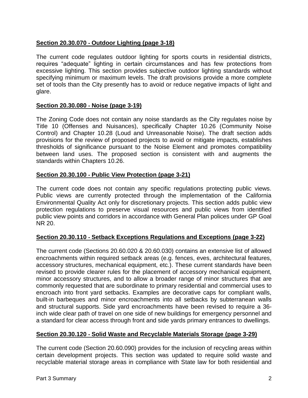#### **Section 20.30.070 - Outdoor Lighting (page 3-18)**

The current code regulates outdoor lighting for sports courts in residential districts, requires "adequate" lighting in certain circumstances and has few protections from excessive lighting. This section provides subjective outdoor lighting standards without specifying minimum or maximum levels. The draft provisions provide a more complete set of tools than the City presently has to avoid or reduce negative impacts of light and glare.

#### **Section 20.30.080 - Noise (page 3-19)**

The Zoning Code does not contain any noise standards as the City regulates noise by Title 10 (Offenses and Nuisances), specifically Chapter 10.26 (Community Noise Control) and Chapter 10.28 (Loud and Unreasonable Noise). The draft section adds provisions for the review of proposed projects to avoid or mitigate impacts, establishes thresholds of significance pursuant to the Noise Element and promotes compatibility between land uses. The proposed section is consistent with and augments the standards within Chapters 10.26.

#### **Section 20.30.100 - Public View Protection (page 3-21)**

The current code does not contain any specific regulations protecting public views. Public views are currently protected through the implementation of the California Environmental Quality Act only for discretionary projects. This section adds public view protection regulations to preserve visual resources and public views from identified public view points and corridors in accordance with General Plan polices under GP Goal NR 20.

#### **Section 20.30.110 - Setback Exceptions Regulations and Exceptions (page 3-22)**

The current code (Sections 20.60.020 & 20.60.030) contains an extensive list of allowed encroachments within required setback areas (e.g. fences, eves, architectural features, accessory structures, mechanical equipment, etc.). These current standards have been revised to provide clearer rules for the placement of accessory mechanical equipment, minor accessory structures, and to allow a broader range of minor structures that are commonly requested that are subordinate to primary residential and commercial uses to encroach into front yard setbacks. Examples are decorative caps for compliant walls, built-in barbeques and minor encroachments into all setbacks by subterranean walls and structural supports. Side yard encroachments have been revised to require a 36 inch wide clear path of travel on one side of new buildings for emergency personnel and a standard for clear access through front and side yards primary entrances to dwellings.

#### **Section 20.30.120 - Solid Waste and Recyclable Materials Storage (page 3-29)**

The current code (Section 20.60.090) provides for the inclusion of recycling areas within certain development projects. This section was updated to require solid waste and recyclable material storage areas in compliance with State law for both residential and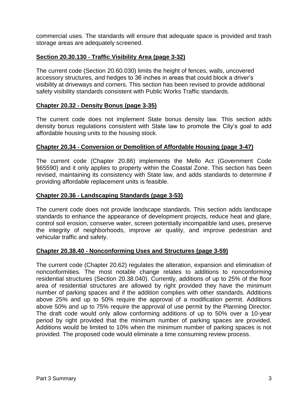commercial uses. The standards will ensure that adequate space is provided and trash storage areas are adequately screened.

#### **Section 20.30.130 - Traffic Visibility Area (page 3-32)**

The current code (Section 20.60.030) limits the height of fences, walls, uncovered accessory structures, and hedges to 36 inches in areas that could block a driver's visibility at driveways and corners. This section has been revised to provide additional safety visibility standards consistent with Public Works Traffic standards.

#### **Chapter 20.32 - Density Bonus (page 3-35)**

The current code does not implement State bonus density law. This section adds density bonus regulations consistent with State law to promote the City's goal to add affordable housing units to the housing stock.

#### **Chapter 20.34 - Conversion or Demolition of Affordable Housing (page 3-47)**

The current code (Chapter 20.86) implements the Mello Act (Government Code §65590) and it only applies to property within the Coastal Zone. This section has been revised, maintaining its consistency with State law, and adds standards to determine if providing affordable replacement units is feasible.

#### **Chapter 20.36 - Landscaping Standards (page 3-53)**

The current code does not provide landscape standards. This section adds landscape standards to enhance the appearance of development projects, reduce heat and glare, control soil erosion, conserve water, screen potentially incompatible land uses, preserve the integrity of neighborhoods, improve air quality, and improve pedestrian and vehicular traffic and safety.

#### **Chapter 20.38.40 - Nonconforming Uses and Structures (page 3-59)**

The current code (Chapter 20.62) regulates the alteration, expansion and elimination of nonconformities. The most notable change relates to additions to nonconforming residential structures (Section 20.38.040). Currently, additions of up to 25% of the floor area of residential structures are allowed by right provided they have the minimum number of parking spaces and if the addition complies with other standards. Additions above 25% and up to 50% require the approval of a modification permit. Additions above 50% and up to 75% require the approval of use permit by the Planning Director. The draft code would only allow conforming additions of up to 50% over a 10-year period by right provided that the minimum number of parking spaces are provided. Additions would be limited to 10% when the minimum number of parking spaces is not provided. The proposed code would eliminate a time consuming review process.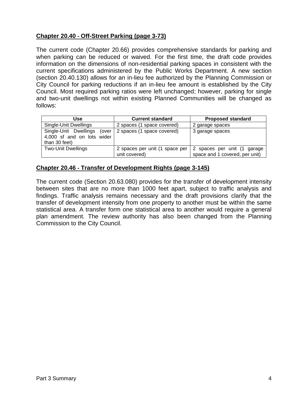#### **Chapter 20.40 - Off-Street Parking (page 3-73)**

The current code (Chapter 20.66) provides comprehensive standards for parking and when parking can be reduced or waived. For the first time, the draft code provides information on the dimensions of non-residential parking spaces in consistent with the current specifications administered by the Public Works Department. A new section (section 20.40.130) allows for an in-lieu fee authorized by the Planning Commission or City Council for parking reductions if an in-lieu fee amount is established by the City Council. Most required parking ratios were left unchanged; however, parking for single and two-unit dwellings not within existing Planned Communities will be changed as follows:

| Use                                                                        | <b>Current standard</b>                         | <b>Proposed standard</b>                                      |
|----------------------------------------------------------------------------|-------------------------------------------------|---------------------------------------------------------------|
| Single-Unit Dwellings                                                      | 2 spaces (1 space covered)                      | 2 garage spaces                                               |
| Single-Unit Dwellings (over<br>4,000 sf and on lots wider<br>than 30 feet) | 2 spaces (1 space covered)                      | 3 garage spaces                                               |
| <b>Two-Unit Dwellings</b>                                                  | 2 spaces per unit (1 space per<br>unit covered) | 2 spaces per unit (1 garage<br>space and 1 covered, per unit) |

#### **Chapter 20.46 - Transfer of Development Rights (page 3-145)**

The current code (Section 20.63.080) provides for the transfer of development intensity between sites that are no more than 1000 feet apart, subject to traffic analysis and findings. Traffic analysis remains necessary and the draft provisions clarify that the transfer of development intensity from one property to another must be within the same statistical area. A transfer form one statistical area to another would require a general plan amendment. The review authority has also been changed from the Planning Commission to the City Council.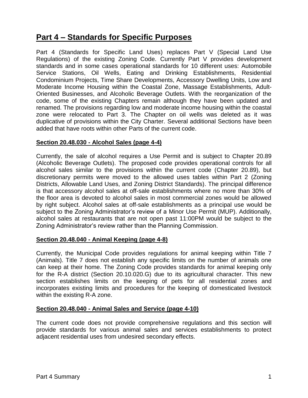## **Part 4 – Standards for Specific Purposes**

Part 4 (Standards for Specific Land Uses) replaces Part V (Special Land Use Regulations) of the existing Zoning Code. Currently Part V provides development standards and in some cases operational standards for 10 different uses: Automobile Service Stations, Oil Wells, Eating and Drinking Establishments, Residential Condominium Projects, Time Share Developments, Accessory Dwelling Units, Low and Moderate Income Housing within the Coastal Zone, Massage Establishments, Adult-Oriented Businesses, and Alcoholic Beverage Outlets. With the reorganization of the code, some of the existing Chapters remain although they have been updated and renamed. The provisions regarding low and moderate income housing within the coastal zone were relocated to Part 3. The Chapter on oil wells was deleted as it was duplicative of provisions within the City Charter. Several additional Sections have been added that have roots within other Parts of the current code.

#### **Section 20.48.030 - Alcohol Sales (page 4-4)**

Currently, the sale of alcohol requires a Use Permit and is subject to Chapter 20.89 (Alcoholic Beverage Outlets). The proposed code provides operational controls for all alcohol sales similar to the provisions within the current code (Chapter 20.89), but discretionary permits were moved to the allowed uses tables within Part 2 (Zoning Districts, Allowable Land Uses, and Zoning District Standards). The principal difference is that accessory alcohol sales at off-sale establishments where no more than 30% of the floor area is devoted to alcohol sales in most commercial zones would be allowed by right subject. Alcohol sales at off-sale establishments as a principal use would be subject to the Zoning Administrator's review of a Minor Use Permit (MUP). Additionally, alcohol sales at restaurants that are not open past 11:00PM would be subject to the Zoning Administrator's review rather than the Planning Commission.

#### **Section 20.48.040 - Animal Keeping (page 4-8)**

Currently, the Municipal Code provides regulations for animal keeping within Title 7 (Animals). Title 7 does not establish any specific limits on the number of animals one can keep at their home. The Zoning Code provides standards for animal keeping only for the R-A district (Section 20.10.020.G) due to its agricultural character. This new section establishes limits on the keeping of pets for all residential zones and incorporates existing limits and procedures for the keeping of domesticated livestock within the existing R-A zone.

#### **Section 20.48.040 - Animal Sales and Service (page 4-10)**

The current code does not provide comprehensive regulations and this section will provide standards for various animal sales and services establishments to protect adjacent residential uses from undesired secondary effects.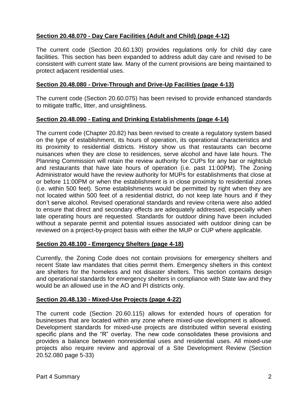#### **Section 20.48.070 - Day Care Facilities (Adult and Child) (page 4-12)**

The current code (Section 20.60.130) provides regulations only for child day care facilities. This section has been expanded to address adult day care and revised to be consistent with current state law. Many of the current provisions are being maintained to protect adjacent residential uses.

#### **Section 20.48.080 - Drive-Through and Drive-Up Facilities (page 4-13)**

The current code (Section 20.60.075) has been revised to provide enhanced standards to mitigate traffic, litter, and unsightliness.

#### **Section 20.48.090 - Eating and Drinking Establishments (page 4-14)**

The current code (Chapter 20.82) has been revised to create a regulatory system based on the type of establishment, its hours of operation, its operational characteristics and its proximity to residential districts. History show us that restaurants can become nuisances when they are close to residences, serve alcohol and have late hours. The Planning Commission will retain the review authority for CUPs for any bar or nightclub and restaurants that have late hours of operation (i.e. past 11:00PM). The Zoning Administrator would have the review authority for MUPs for establishments that close at or before 11:00PM or when the establishment is in close proximity to residential zones (i.e. within 500 feet). Some establishments would be permitted by right when they are not located within 500 feet of a residential district, do not keep late hours and if they don't serve alcohol. Revised operational standards and review criteria were also added to ensure that direct and secondary effects are adequately addressed, especially when late operating hours are requested. Standards for outdoor dining have been included without a separate permit and potential issues associated with outdoor dining can be reviewed on a project-by-project basis with either the MUP or CUP where applicable.

#### **Section 20.48.100 - Emergency Shelters (page 4-18)**

Currently, the Zoning Code does not contain provisions for emergency shelters and recent State law mandates that cities permit them. Emergency shelters in this context are shelters for the homeless and not disaster shelters. This section contains design and operational standards for emergency shelters in compliance with State law and they would be an allowed use in the AO and PI districts only.

#### **Section 20.48.130 - Mixed-Use Projects (page 4-22)**

The current code (Section 20.60.115) allows for extended hours of operation for businesses that are located within any zone where mixed-use development is allowed. Development standards for mixed-use projects are distributed within several existing specific plans and the "R" overlay. The new code consolidates these provisions and provides a balance between nonresidential uses and residential uses. All mixed-use projects also require review and approval of a Site Development Review (Section 20.52.080 page 5-33)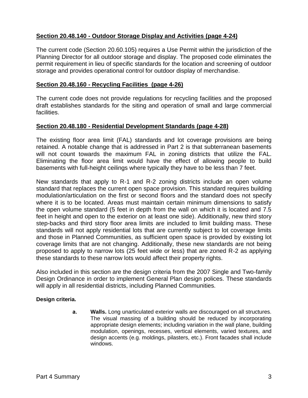#### **Section 20.48.140 - Outdoor Storage Display and Activities (page 4-24)**

The current code (Section 20.60.105) requires a Use Permit within the jurisdiction of the Planning Director for all outdoor storage and display. The proposed code eliminates the permit requirement in lieu of specific standards for the location and screening of outdoor storage and provides operational control for outdoor display of merchandise.

#### **Section 20.48.160 - Recycling Facilities (page 4-26)**

The current code does not provide regulations for recycling facilities and the proposed draft establishes standards for the siting and operation of small and large commercial facilities.

#### **Section 20.48.180 - Residential Development Standards (page 4-28)**

The existing floor area limit (FAL) standards and lot coverage provisions are being retained. A notable change that is addressed in Part 2 is that subterranean basements will not count towards the maximum FAL in zoning districts that utilize the FAL. Eliminating the floor area limit would have the effect of allowing people to build basements with full-height ceilings where typically they have to be less than 7 feet.

New standards that apply to R-1 and R-2 zoning districts include an open volume standard that replaces the current open space provision. This standard requires building modulation/articulation on the first or second floors and the standard does not specify where it is to be located. Areas must maintain certain minimum dimensions to satisfy the open volume standard (5 feet in depth from the wall on which it is located and 7.5 feet in height and open to the exterior on at least one side). Additionally, new third story step-backs and third story floor area limits are included to limit building mass. These standards will not apply residential lots that are currently subject to lot coverage limits and those in Planned Communities, as sufficient open space is provided by existing lot coverage limits that are not changing. Additionally, these new standards are not being proposed to apply to narrow lots (25 feet wide or less) that are zoned R-2 as applying these standards to these narrow lots would affect their property rights.

Also included in this section are the design criteria from the 2007 Single and Two-family Design Ordinance in order to implement General Plan design polices. These standards will apply in all residential districts, including Planned Communities.

#### **Design criteria.**

**a. Walls.** Long unarticulated exterior walls are discouraged on all structures. The visual massing of a building should be reduced by incorporating appropriate design elements; including variation in the wall plane, building modulation, openings, recesses, vertical elements, varied textures, and design accents (e.g. moldings, pilasters, etc.). Front facades shall include windows.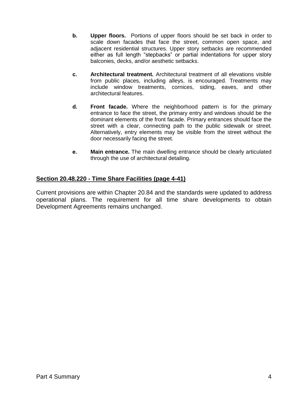- **b. Upper floors.** Portions of upper floors should be set back in order to scale down facades that face the street, common open space, and adjacent residential structures. Upper story setbacks are recommended either as full length "stepbacks" or partial indentations for upper story balconies, decks, and/or aesthetic setbacks.
- **c. Architectural treatment.** Architectural treatment of all elevations visible from public places, including alleys, is encouraged. Treatments may include window treatments, cornices, siding, eaves, and other architectural features.
- **d. Front facade.** Where the neighborhood pattern is for the primary entrance to face the street, the primary entry and windows should be the dominant elements of the front facade. Primary entrances should face the street with a clear, connecting path to the public sidewalk or street. Alternatively, entry elements may be visible from the street without the door necessarily facing the street.
- **e. Main entrance.** The main dwelling entrance should be clearly articulated through the use of architectural detailing.

#### **Section 20.48.220 - Time Share Facilities (page 4-41)**

Current provisions are within Chapter 20.84 and the standards were updated to address operational plans. The requirement for all time share developments to obtain Development Agreements remains unchanged.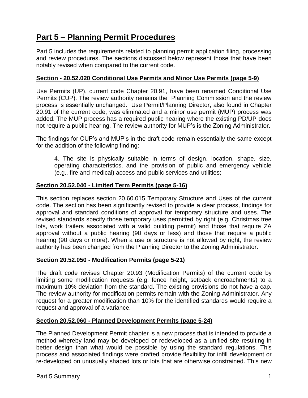## **Part 5 – Planning Permit Procedures**

Part 5 includes the requirements related to planning permit application filing, processing and review procedures. The sections discussed below represent those that have been notably revised when compared to the current code.

#### **Section - 20.52.020 Conditional Use Permits and Minor Use Permits (page 5-9)**

Use Permits (UP), current code Chapter 20.91, have been renamed Conditional Use Permits (CUP). The review authority remains the Planning Commission and the review process is essentially unchanged. Use Permit/Planning Director, also found in Chapter 20.91 of the current code, was eliminated and a minor use permit (MUP) process was added. The MUP process has a required public hearing where the existing PD/UP does not require a public hearing. The review authority for MUP's is the Zoning Administrator.

The findings for CUP's and MUP's in the draft code remain essentially the same except for the addition of the following finding:

4. The site is physically suitable in terms of design, location, shape, size, operating characteristics, and the provision of public and emergency vehicle (e.g., fire and medical) access and public services and utilities;

#### **Section 20.52.040 - Limited Term Permits (page 5-16)**

This section replaces section 20.60.015 Temporary Structure and Uses of the current code. The section has been significantly revised to provide a clear process, findings for approval and standard conditions of approval for temporary structure and uses. The revised standards specify those temporary uses permitted by right (e.g. Christmas tree lots, work trailers associated with a valid building permit) and those that require ZA approval without a public hearing (90 days or less) and those that require a public hearing (90 days or more). When a use or structure is not allowed by right, the review authority has been changed from the Planning Director to the Zoning Administrator.

#### **Section 20.52.050 - Modification Permits (page 5-21)**

The draft code revises Chapter 20.93 (Modification Permits) of the current code by limiting some modification requests (e.g. fence height, setback encroachments) to a maximum 10% deviation from the standard. The existing provisions do not have a cap. The review authority for modification permits remain with the Zoning Administrator. Any request for a greater modification than 10% for the identified standards would require a request and approval of a variance.

#### **Section 20.52.060 - Planned Development Permits (page 5-24)**

The Planned Development Permit chapter is a new process that is intended to provide a method whereby land may be developed or redeveloped as a unified site resulting in better design than what would be possible by using the standard regulations. This process and associated findings were drafted provide flexibility for infill development or re-developed on unusually shaped lots or lots that are otherwise constrained. This new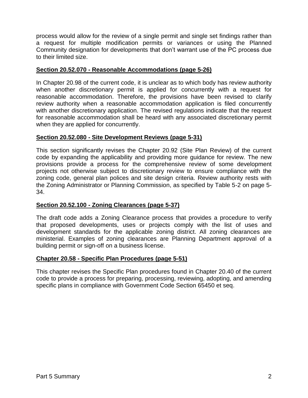process would allow for the review of a single permit and single set findings rather than a request for multiple modification permits or variances or using the Planned Community designation for developments that don't warrant use of the PC process due to their limited size.

#### **Section 20.52.070 - Reasonable Accommodations (page 5-26)**

In Chapter 20.98 of the current code, it is unclear as to which body has review authority when another discretionary permit is applied for concurrently with a request for reasonable accommodation. Therefore, the provisions have been revised to clarify review authority when a reasonable accommodation application is filed concurrently with another discretionary application. The revised regulations indicate that the request for reasonable accommodation shall be heard with any associated discretionary permit when they are applied for concurrently.

#### **Section 20.52.080 - Site Development Reviews (page 5-31)**

This section significantly revises the Chapter 20.92 (Site Plan Review) of the current code by expanding the applicability and providing more guidance for review. The new provisions provide a process for the comprehensive review of some development projects not otherwise subject to discretionary review to ensure compliance with the zoning code, general plan polices and site design criteria. Review authority rests with the Zoning Administrator or Planning Commission, as specified by Table 5-2 on page 5- 34.

#### **Section 20.52.100 - Zoning Clearances (page 5-37)**

The draft code adds a Zoning Clearance process that provides a procedure to verify that proposed developments, uses or projects comply with the list of uses and development standards for the applicable zoning district. All zoning clearances are ministerial. Examples of zoning clearances are Planning Department approval of a building permit or sign-off on a business license.

#### **Chapter 20.58 - Specific Plan Procedures (page 5-51)**

This chapter revises the Specific Plan procedures found in Chapter 20.40 of the current code to provide a process for preparing, processing, reviewing, adopting, and amending specific plans in compliance with Government Code Section 65450 et seq.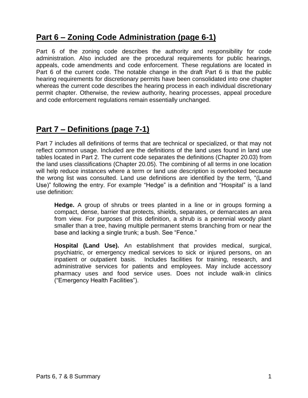## **Part 6 – Zoning Code Administration (page 6-1)**

Part 6 of the zoning code describes the authority and responsibility for code administration. Also included are the procedural requirements for public hearings, appeals, code amendments and code enforcement. These regulations are located in Part 6 of the current code. The notable change in the draft Part 6 is that the public hearing requirements for discretionary permits have been consolidated into one chapter whereas the current code describes the hearing process in each individual discretionary permit chapter. Otherwise, the review authority, hearing processes, appeal procedure and code enforcement regulations remain essentially unchanged.

## **Part 7 – Definitions (page 7-1)**

Part 7 includes all definitions of terms that are technical or specialized, or that may not reflect common usage. Included are the definitions of the land uses found in land use tables located in Part 2. The current code separates the definitions (Chapter 20.03) from the land uses classifications (Chapter 20.05). The combining of all terms in one location will help reduce instances where a term or land use description is overlooked because the wrong list was consulted. Land use definitions are identified by the term, "(Land Use)" following the entry. For example "Hedge" is a definition and "Hospital" is a land use definition:

**Hedge.** A group of shrubs or trees planted in a line or in groups forming a compact, dense, barrier that protects, shields, separates, or demarcates an area from view. For purposes of this definition, a shrub is a perennial woody plant smaller than a tree, having multiple permanent stems branching from or near the base and lacking a single trunk; a bush. See "Fence."

**Hospital (Land Use).** An establishment that provides medical, surgical, psychiatric, or emergency medical services to sick or injured persons, on an inpatient or outpatient basis. Includes facilities for training, research, and administrative services for patients and employees. May include accessory pharmacy uses and food service uses. Does not include walk-in clinics ("Emergency Health Facilities").